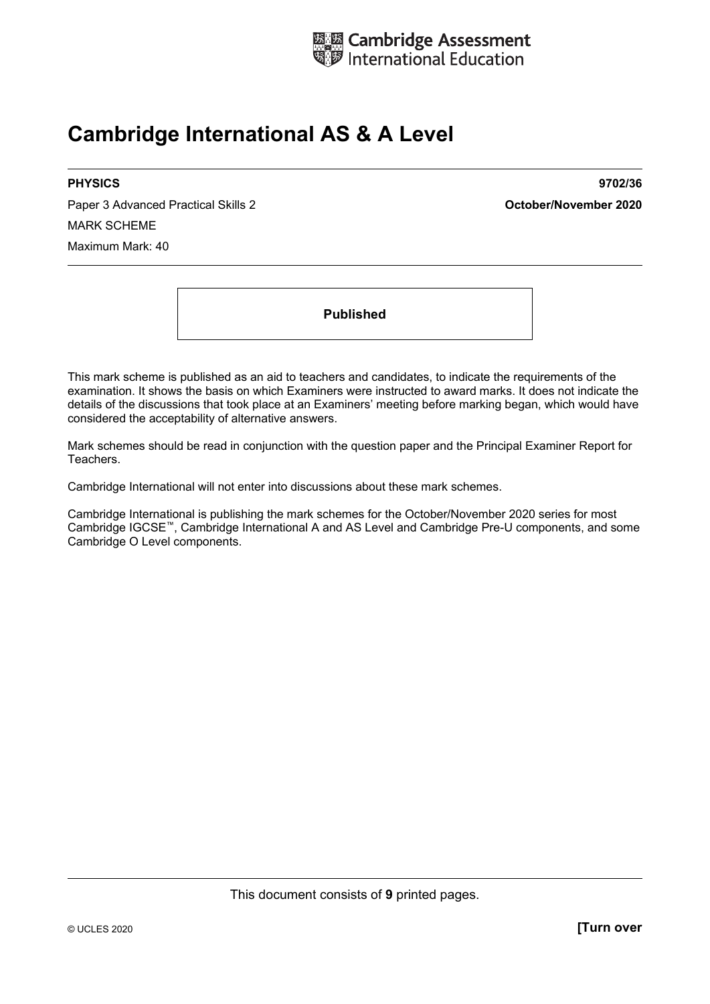

# **Cambridge International AS & A Level**

Paper 3 Advanced Practical Skills 2 **October/November 2020** MARK SCHEME Maximum Mark: 40

**PHYSICS 9702/36** 

**Published** 

This mark scheme is published as an aid to teachers and candidates, to indicate the requirements of the examination. It shows the basis on which Examiners were instructed to award marks. It does not indicate the details of the discussions that took place at an Examiners' meeting before marking began, which would have considered the acceptability of alternative answers.

Mark schemes should be read in conjunction with the question paper and the Principal Examiner Report for Teachers.

Cambridge International will not enter into discussions about these mark schemes.

Cambridge International is publishing the mark schemes for the October/November 2020 series for most Cambridge IGCSE™, Cambridge International A and AS Level and Cambridge Pre-U components, and some Cambridge O Level components.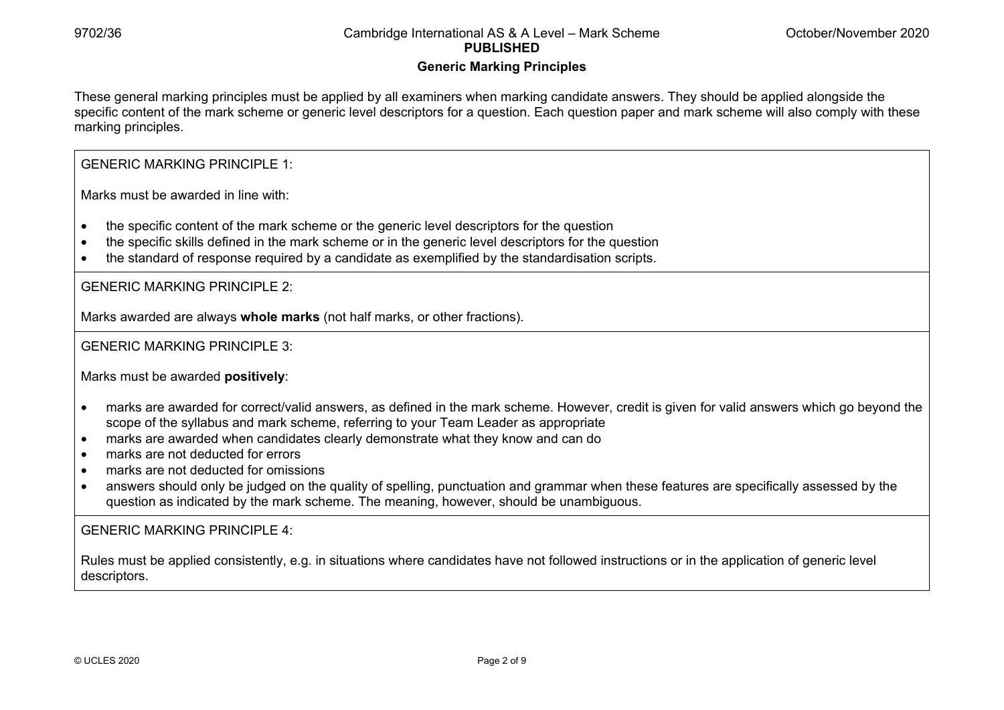#### **Generic Marking Principles**

These general marking principles must be applied by all examiners when marking candidate answers. They should be applied alongside the specific content of the mark scheme or generic level descriptors for a question. Each question paper and mark scheme will also comply with these marking principles.

GENERIC MARKING PRINCIPLE 1:

Marks must be awarded in line with:

- the specific content of the mark scheme or the generic level descriptors for the question
- the specific skills defined in the mark scheme or in the generic level descriptors for the question
- the standard of response required by a candidate as exemplified by the standardisation scripts.

GENERIC MARKING PRINCIPLE 2:

Marks awarded are always **whole marks** (not half marks, or other fractions).

GENERIC MARKING PRINCIPLE 3:

Marks must be awarded **positively**:

- marks are awarded for correct/valid answers, as defined in the mark scheme. However, credit is given for valid answers which go beyond the scope of the syllabus and mark scheme, referring to your Team Leader as appropriate
- marks are awarded when candidates clearly demonstrate what they know and can do
- marks are not deducted for errors
- marks are not deducted for omissions
- answers should only be judged on the quality of spelling, punctuation and grammar when these features are specifically assessed by the question as indicated by the mark scheme. The meaning, however, should be unambiguous.

GENERIC MARKING PRINCIPLE  $4$ 

Rules must be applied consistently, e.g. in situations where candidates have not followed instructions or in the application of generic level descriptors.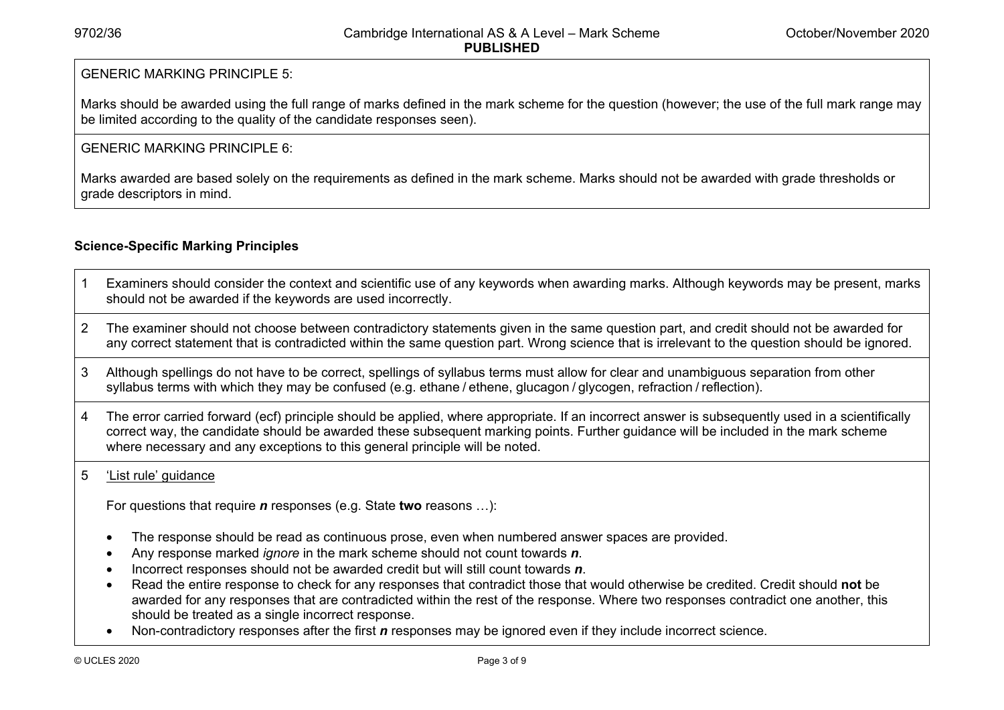#### GENERIC MARKING PRINCIPLE 5:

Marks should be awarded using the full range of marks defined in the mark scheme for the question (however; the use of the full mark range may be limited according to the quality of the candidate responses seen).

#### GENERIC MARKING PRINCIPLE 6:

Marks awarded are based solely on the requirements as defined in the mark scheme. Marks should not be awarded with grade thresholds or grade descriptors in mind.

### **Science-Specific Marking Principles**

- 1 Examiners should consider the context and scientific use of any keywords when awarding marks. Although keywords may be present, marks should not be awarded if the keywords are used incorrectly.
- 2 The examiner should not choose between contradictory statements given in the same question part, and credit should not be awarded for any correct statement that is contradicted within the same question part. Wrong science that is irrelevant to the question should be ignored.
- 3 Although spellings do not have to be correct, spellings of syllabus terms must allow for clear and unambiguous separation from other syllabus terms with which they may be confused (e.g. ethane / ethene, glucagon / glycogen, refraction / reflection).
- 4 The error carried forward (ecf) principle should be applied, where appropriate. If an incorrect answer is subsequently used in a scientifically correct way, the candidate should be awarded these subsequent marking points. Further guidance will be included in the mark scheme where necessary and any exceptions to this general principle will be noted.

#### 5 'List rule' guidance

For questions that require *<sup>n</sup>* responses (e.g. State **two** reasons …):

- The response should be read as continuous prose, even when numbered answer spaces are provided.
- Any response marked *ignore* in the mark scheme should not count towards *n*.
- Incorrect responses should not be awarded credit but will still count towards *n*.
- Read the entire response to check for any responses that contradict those that would otherwise be credited. Credit should **not** be awarded for any responses that are contradicted within the rest of the response. Where two responses contradict one another, this should be treated as a single incorrect response.
- Non-contradictory responses after the first *n* responses may be ignored even if they include incorrect science.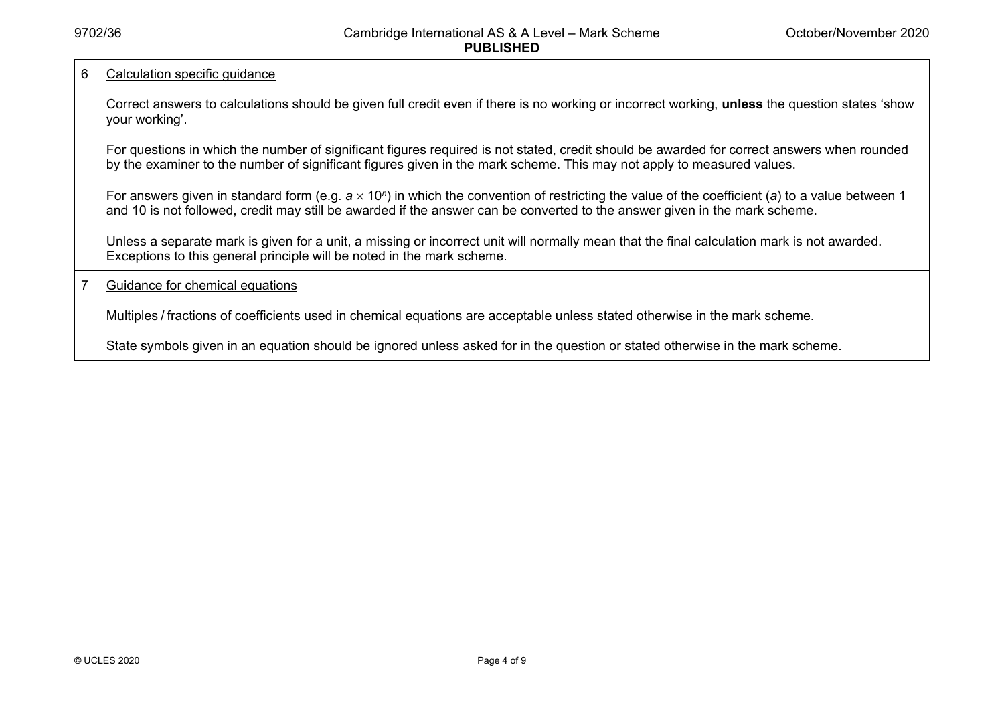#### 6 Calculation specific guidance

Correct answers to calculations should be given full credit even if there is no working or incorrect working, **unless** the question states 'show your working'.

For questions in which the number of significant figures required is not stated, credit should be awarded for correct answers when rounded by the examiner to the number of significant figures given in the mark scheme. This may not apply to measured values.

For answers given in standard form (e.g. a × 10<sup>*n*</sup>) in which the convention of restricting the value of the coefficient (a) to a value between 1 and 10 is not followed, credit may still be awarded if the answer can be converted to the answer given in the mark scheme.

Unless a separate mark is given for a unit, a missing or incorrect unit will normally mean that the final calculation mark is not awarded. Exceptions to this general principle will be noted in the mark scheme.

#### 7 Guidance for chemical equations

Multiples / fractions of coefficients used in chemical equations are acceptable unless stated otherwise in the mark scheme.

State symbols given in an equation should be ignored unless asked for in the question or stated otherwise in the mark scheme.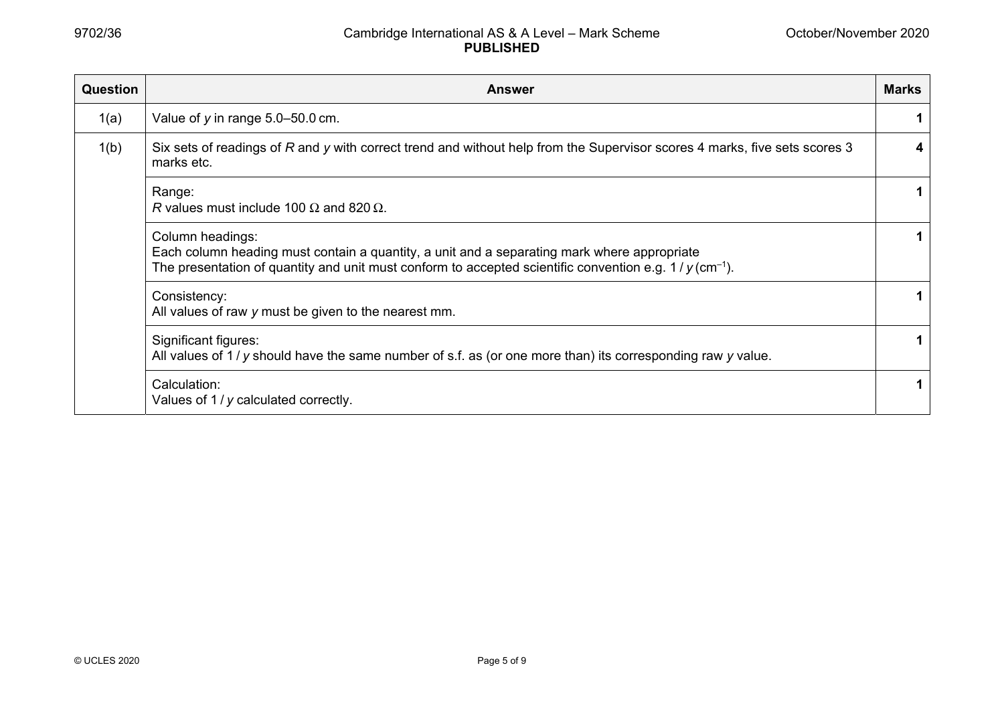| <b>Question</b> | <b>Answer</b>                                                                                                                                                                                                                           |   |  |  |
|-----------------|-----------------------------------------------------------------------------------------------------------------------------------------------------------------------------------------------------------------------------------------|---|--|--|
| 1(a)            | Value of $y$ in range $5.0 - 50.0$ cm.                                                                                                                                                                                                  |   |  |  |
| 1(b)            | Six sets of readings of R and y with correct trend and without help from the Supervisor scores 4 marks, five sets scores 3<br>marks etc.                                                                                                | 4 |  |  |
|                 | Range:<br>R values must include 100 $\Omega$ and 820 $\Omega$ .                                                                                                                                                                         |   |  |  |
|                 | Column headings:<br>Each column heading must contain a quantity, a unit and a separating mark where appropriate<br>The presentation of quantity and unit must conform to accepted scientific convention e.g. $1/y$ (cm <sup>-1</sup> ). |   |  |  |
|                 | Consistency:<br>All values of raw y must be given to the nearest mm.                                                                                                                                                                    |   |  |  |
|                 | Significant figures:<br>All values of $1/y$ should have the same number of s.f. as (or one more than) its corresponding raw $y$ value.                                                                                                  |   |  |  |
|                 | Calculation:<br>Values of 1 / y calculated correctly.                                                                                                                                                                                   |   |  |  |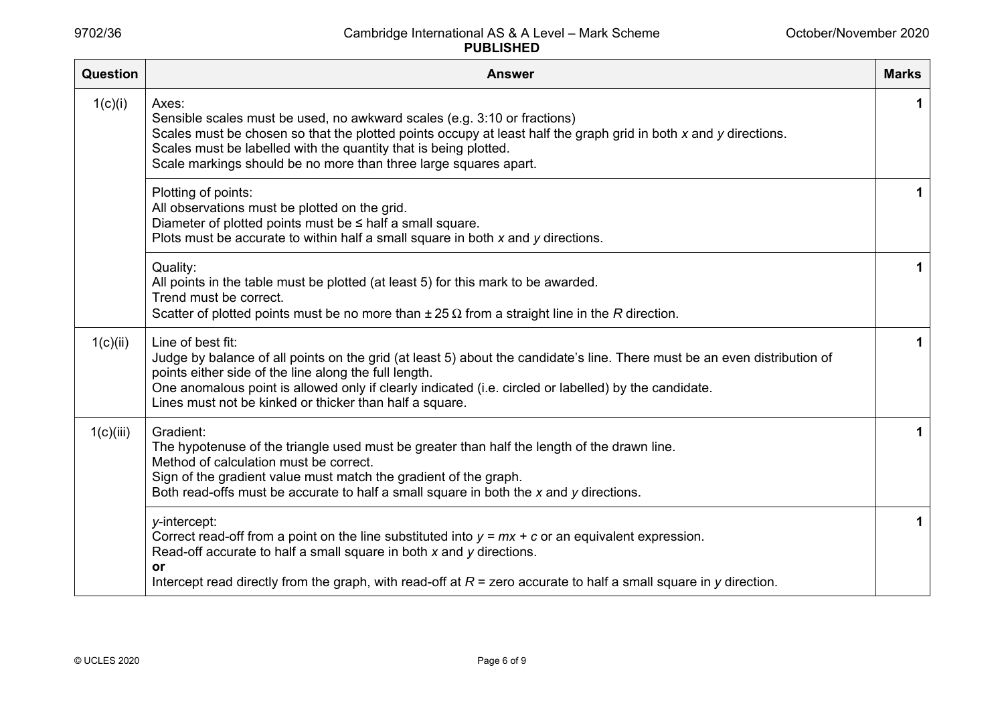| Question  | <b>Answer</b>                                                                                                                                                                                                                                                                                                                                                               | <b>Marks</b> |
|-----------|-----------------------------------------------------------------------------------------------------------------------------------------------------------------------------------------------------------------------------------------------------------------------------------------------------------------------------------------------------------------------------|--------------|
| 1(c)(i)   | Axes:<br>Sensible scales must be used, no awkward scales (e.g. 3:10 or fractions)<br>Scales must be chosen so that the plotted points occupy at least half the graph grid in both x and y directions.<br>Scales must be labelled with the quantity that is being plotted.<br>Scale markings should be no more than three large squares apart.                               | 1            |
|           | Plotting of points:<br>All observations must be plotted on the grid.<br>Diameter of plotted points must be $\leq$ half a small square.<br>Plots must be accurate to within half a small square in both $x$ and $y$ directions.                                                                                                                                              | $\mathbf 1$  |
|           | Quality:<br>All points in the table must be plotted (at least 5) for this mark to be awarded.<br>Trend must be correct.<br>Scatter of plotted points must be no more than $\pm 25 \Omega$ from a straight line in the R direction.                                                                                                                                          | 1            |
| 1(c)(ii)  | Line of best fit:<br>Judge by balance of all points on the grid (at least 5) about the candidate's line. There must be an even distribution of<br>points either side of the line along the full length.<br>One anomalous point is allowed only if clearly indicated (i.e. circled or labelled) by the candidate.<br>Lines must not be kinked or thicker than half a square. | 1            |
| 1(c)(iii) | Gradient:<br>The hypotenuse of the triangle used must be greater than half the length of the drawn line.<br>Method of calculation must be correct.<br>Sign of the gradient value must match the gradient of the graph.<br>Both read-offs must be accurate to half a small square in both the $x$ and $y$ directions.                                                        | $\mathbf 1$  |
|           | y-intercept:<br>Correct read-off from a point on the line substituted into $y = mx + c$ or an equivalent expression.<br>Read-off accurate to half a small square in both x and y directions.<br>or<br>Intercept read directly from the graph, with read-off at $R =$ zero accurate to half a small square in y direction.                                                   | 1            |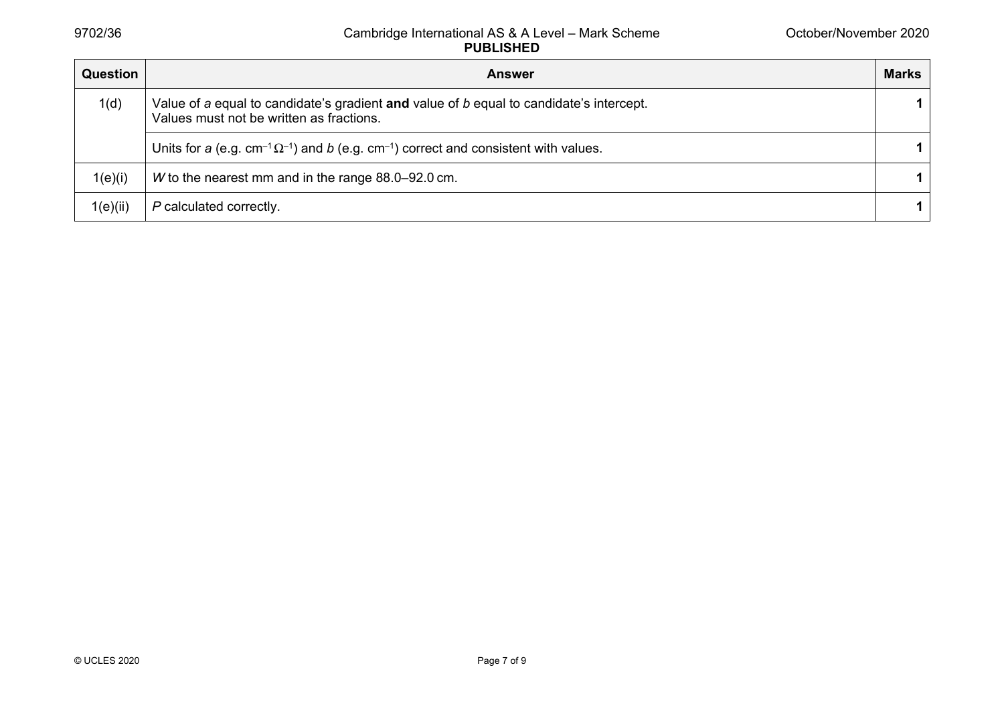| <b>Question</b> | <b>Answer</b>                                                                                                                       | <b>Marks</b> |
|-----------------|-------------------------------------------------------------------------------------------------------------------------------------|--------------|
| 1(d)            | Value of a equal to candidate's gradient and value of b equal to candidate's intercept.<br>Values must not be written as fractions. | 1.           |
|                 | Units for a (e.g. $cm^{-1}\Omega^{-1}$ ) and b (e.g. $cm^{-1}$ ) correct and consistent with values.                                | 1.           |
| 1(e)(i)         | W to the nearest mm and in the range 88.0–92.0 cm.                                                                                  | 1.           |
| 1(e)(ii)        | P calculated correctly.                                                                                                             |              |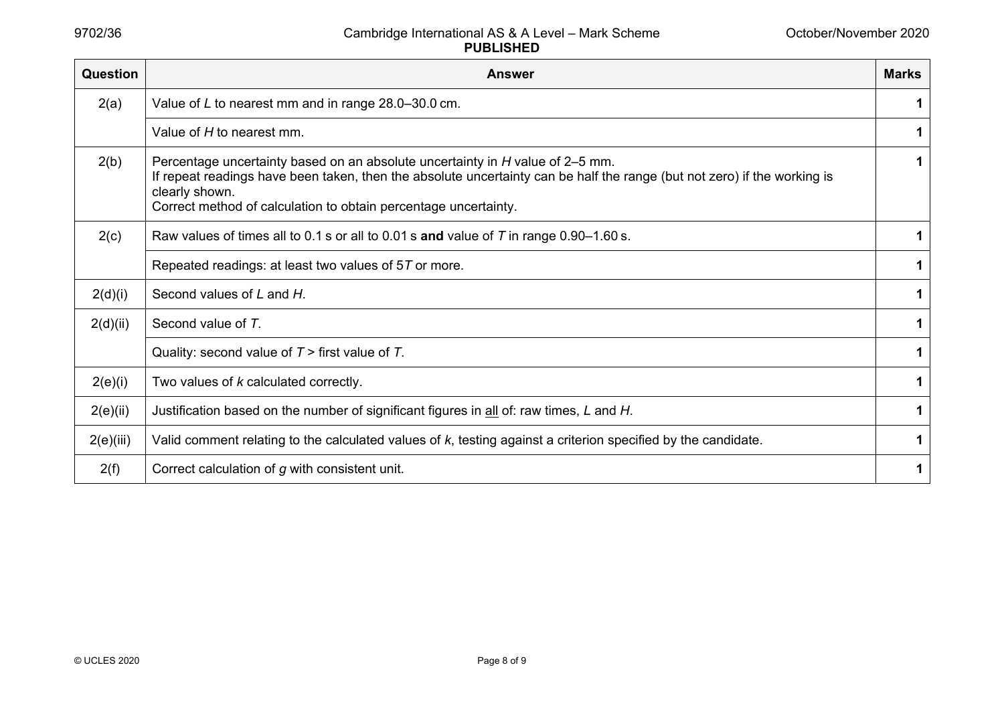| <b>Question</b> | <b>Answer</b>                                                                                                                                                                                                                                                                                  | <b>Marks</b> |
|-----------------|------------------------------------------------------------------------------------------------------------------------------------------------------------------------------------------------------------------------------------------------------------------------------------------------|--------------|
| 2(a)            | Value of L to nearest mm and in range 28.0-30.0 cm.                                                                                                                                                                                                                                            | 1            |
|                 | Value of H to nearest mm.                                                                                                                                                                                                                                                                      | 1            |
| 2(b)            | Percentage uncertainty based on an absolute uncertainty in H value of 2–5 mm.<br>If repeat readings have been taken, then the absolute uncertainty can be half the range (but not zero) if the working is<br>clearly shown.<br>Correct method of calculation to obtain percentage uncertainty. | 1            |
| 2(c)            | Raw values of times all to 0.1 s or all to 0.01 s and value of $T$ in range 0.90–1.60 s.                                                                                                                                                                                                       | 1            |
|                 | Repeated readings: at least two values of 57 or more.                                                                                                                                                                                                                                          | 1            |
| 2(d)(i)         | Second values of L and H.                                                                                                                                                                                                                                                                      | 1            |
| 2(d)(ii)        | Second value of T.                                                                                                                                                                                                                                                                             | 1            |
|                 | Quality: second value of $T >$ first value of $T$ .                                                                                                                                                                                                                                            | 1            |
| 2(e)(i)         | Two values of k calculated correctly.                                                                                                                                                                                                                                                          | 1            |
| 2(e)(ii)        | Justification based on the number of significant figures in all of: raw times, L and H.                                                                                                                                                                                                        | 1            |
| 2(e)(iii)       | Valid comment relating to the calculated values of $k$ , testing against a criterion specified by the candidate.                                                                                                                                                                               | 1            |
| 2(f)            | Correct calculation of g with consistent unit.                                                                                                                                                                                                                                                 | 1            |